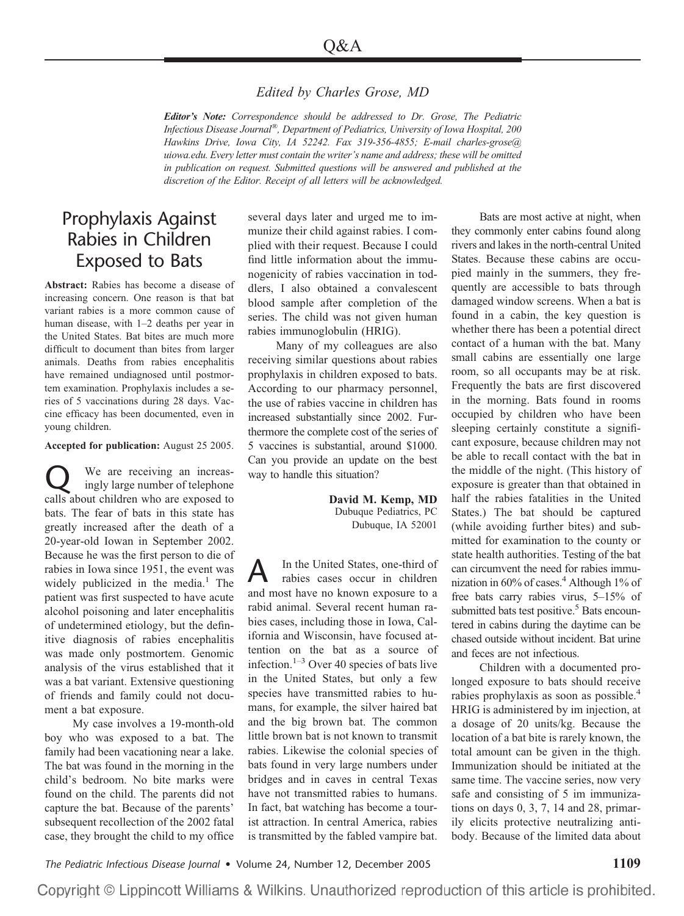## *Edited by Charles Grose, MD*

*Editor's Note: Correspondence should be addressed to Dr. Grose, The Pediatric Infectious Disease Journal®, Department of Pediatrics, University of Iowa Hospital, 200 Hawkins Drive, Iowa City, IA 52242. Fax 319-356-4855; E-mail charles-grose@ uiowa.edu. Every letter must contain the writer's name and address; these will be omitted in publication on request. Submitted questions will be answered and published at the discretion of the Editor. Receipt of all letters will be acknowledged.*

## Prophylaxis Against Rabies in Children Exposed to Bats

**Abstract:** Rabies has become a disease of increasing concern. One reason is that bat variant rabies is a more common cause of human disease, with 1–2 deaths per year in the United States. Bat bites are much more difficult to document than bites from larger animals. Deaths from rabies encephalitis have remained undiagnosed until postmortem examination. Prophylaxis includes a series of 5 vaccinations during 28 days. Vaccine efficacy has been documented, even in young children.

**Accepted for publication:** August 25 2005.

We are receiving an increas-<br>ingly large number of telephone calls about children who are exposed to bats. The fear of bats in this state has greatly increased after the death of a 20-year-old Iowan in September 2002. Because he was the first person to die of rabies in Iowa since 1951, the event was widely publicized in the media.<sup>1</sup> The patient was first suspected to have acute alcohol poisoning and later encephalitis of undetermined etiology, but the definitive diagnosis of rabies encephalitis was made only postmortem. Genomic analysis of the virus established that it was a bat variant. Extensive questioning of friends and family could not document a bat exposure.

My case involves a 19-month-old boy who was exposed to a bat. The family had been vacationing near a lake. The bat was found in the morning in the child's bedroom. No bite marks were found on the child. The parents did not capture the bat. Because of the parents' subsequent recollection of the 2002 fatal case, they brought the child to my office

several days later and urged me to immunize their child against rabies. I complied with their request. Because I could find little information about the immunogenicity of rabies vaccination in toddlers, I also obtained a convalescent blood sample after completion of the series. The child was not given human rabies immunoglobulin (HRIG).

Many of my colleagues are also receiving similar questions about rabies prophylaxis in children exposed to bats. According to our pharmacy personnel, the use of rabies vaccine in children has increased substantially since 2002. Furthermore the complete cost of the series of 5 vaccines is substantial, around \$1000. Can you provide an update on the best way to handle this situation?

> **David M. Kemp, MD** Dubuque Pediatrics, PC Dubuque, IA 52001

A In the United States, one-third of rabies cases occur in children and most have no known exposure to a rabid animal. Several recent human rabies cases, including those in Iowa, California and Wisconsin, have focused attention on the bat as a source of infection. $1-3$  Over 40 species of bats live in the United States, but only a few species have transmitted rabies to humans, for example, the silver haired bat and the big brown bat. The common little brown bat is not known to transmit rabies. Likewise the colonial species of bats found in very large numbers under bridges and in caves in central Texas have not transmitted rabies to humans. In fact, bat watching has become a tourist attraction. In central America, rabies is transmitted by the fabled vampire bat.

Bats are most active at night, when they commonly enter cabins found along rivers and lakes in the north-central United States. Because these cabins are occupied mainly in the summers, they frequently are accessible to bats through damaged window screens. When a bat is found in a cabin, the key question is whether there has been a potential direct contact of a human with the bat. Many small cabins are essentially one large room, so all occupants may be at risk. Frequently the bats are first discovered in the morning. Bats found in rooms occupied by children who have been sleeping certainly constitute a significant exposure, because children may not be able to recall contact with the bat in the middle of the night. (This history of exposure is greater than that obtained in half the rabies fatalities in the United States.) The bat should be captured (while avoiding further bites) and submitted for examination to the county or state health authorities. Testing of the bat can circumvent the need for rabies immunization in  $60\%$  of cases.<sup>4</sup> Although 1% of free bats carry rabies virus, 5–15% of submitted bats test positive.<sup>5</sup> Bats encountered in cabins during the daytime can be chased outside without incident. Bat urine and feces are not infectious.

Children with a documented prolonged exposure to bats should receive rabies prophylaxis as soon as possible.<sup>4</sup> HRIG is administered by im injection, at a dosage of 20 units/kg. Because the location of a bat bite is rarely known, the total amount can be given in the thigh. Immunization should be initiated at the same time. The vaccine series, now very safe and consisting of 5 im immunizations on days 0, 3, 7, 14 and 28, primarily elicits protective neutralizing antibody. Because of the limited data about

*The Pediatric Infectious Disease Journal* • Volume 24, Number 12, December 2005 **1109**

Copyright © Lippincott Williams & Wilkins. Unauthorized reproduction of this article is prohibited.